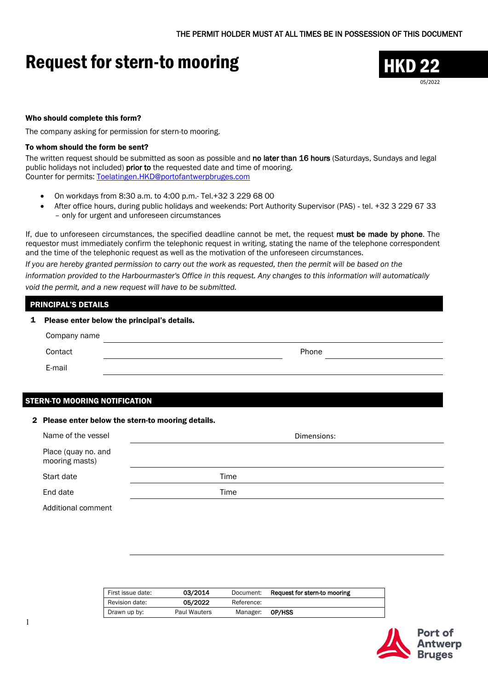# Request for stern-to mooring THKD 22



#### Who should complete this form?

The company asking for permission for stern-to mooring.

#### To whom should the form be sent?

The written request should be submitted as soon as possible and no later than 16 hours (Saturdays, Sundays and legal public holidays not included) prior to the requested date and time of mooring. Counter for permits: [Toelatingen.HKD@portofantwerpbruges.com](mailto:Toelatingen.HKD@portofantwerpbruges.com) 

- On workdays from 8:30 a.m. to 4:00 p.m.- Tel.+32 3 229 68 00
- After office hours, during public holidays and weekends: Port Authority Supervisor (PAS) tel. +32 3 229 67 33 – only for urgent and unforeseen circumstances

If, due to unforeseen circumstances, the specified deadline cannot be met, the request must be made by phone. The requestor must immediately confirm the telephonic request in writing, stating the name of the telephone correspondent and the time of the telephonic request as well as the motivation of the unforeseen circumstances.

*If you are hereby granted permission to carry out the work as requested, then the permit will be based on the information provided to the Harbourmaster's Office in this request. Any changes to this information will automatically void the permit, and a new request will have to be submitted.*

# PRINCIPAL'S DETAILS

| $\mathbf{1}$ | Please enter below the principal's details. |  |       |  |
|--------------|---------------------------------------------|--|-------|--|
|              | Company name                                |  |       |  |
|              | Contact                                     |  | Phone |  |
|              | E-mail                                      |  |       |  |

### STERN-TO MOORING NOTIFICATION

#### 2 Please enter below the stern-to mooring details.

| Name of the vessel                    | Dimensions: |
|---------------------------------------|-------------|
| Place (quay no. and<br>mooring masts) |             |
| Start date                            | Time        |
| End date                              | Time        |
| Additional comment                    |             |

| First issue date: | 03/2014             | Document:  | Request for stern-to mooring |
|-------------------|---------------------|------------|------------------------------|
| Revision date:    | 05/2022             | Reference: |                              |
| Drawn up by:      | <b>Paul Wauters</b> | Manager:   | OP/HSS                       |